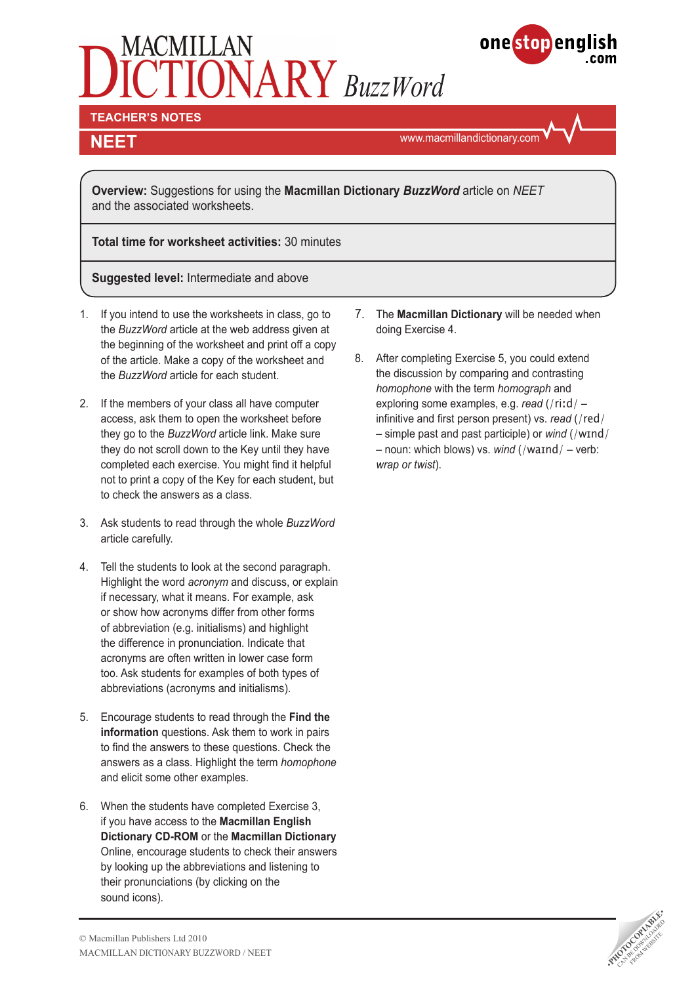# $\widetilde{\textbf{ON}}$ ARY BuzzWord



**TEACHER'S NOTES** 

# **NEET**

www.macmillandictionary.com

**Overview:** Suggestions for using the **Macmillan Dictionary** *BuzzWord* article on *NEET* and the associated worksheets.

**Total time for worksheet activities:** 30 minutes

**Suggested level:** Intermediate and above

- 1. If you intend to use the worksheets in class, go to the *BuzzWord* article at the web address given at the beginning of the worksheet and print off a copy of the article. Make a copy of the worksheet and the *BuzzWord* article for each student.
- 2. If the members of your class all have computer access, ask them to open the worksheet before they go to the *BuzzWord* article link. Make sure they do not scroll down to the Key until they have completed each exercise. You might find it helpful not to print a copy of the Key for each student, but to check the answers as a class.
- 3. Ask students to read through the whole *BuzzWord* article carefully.
- 4. Tell the students to look at the second paragraph. Highlight the word *acronym* and discuss, or explain if necessary, what it means. For example, ask or show how acronyms differ from other forms of abbreviation (e.g. initialisms) and highlight the difference in pronunciation. Indicate that acronyms are often written in lower case form too. Ask students for examples of both types of abbreviations (acronyms and initialisms).
- 5. Encourage students to read through the **Find the information** questions. Ask them to work in pairs to find the answers to these questions. Check the answers as a class. Highlight the term *homophone*  and elicit some other examples.
- 6. When the students have completed Exercise 3, if you have access to the **Macmillan English Dictionary CD-ROM** or the **Macmillan Dictionary**  Online, encourage students to check their answers by looking up the abbreviations and listening to their pronunciations (by clicking on the sound icons).
- 7. The **Macmillan Dictionary** will be needed when doing Exercise 4.
- 8. After completing Exercise 5, you could extend the discussion by comparing and contrasting *homophone* with the term *homograph* and exploring some examples, e.g. *read* (/riːd/ – infinitive and first person present) vs. *read* (/red/ – simple past and past participle) or *wind* (/wɪnd/ – noun: which blows) vs. *wind* (/waɪnd/ – verb: *wrap or twist*).

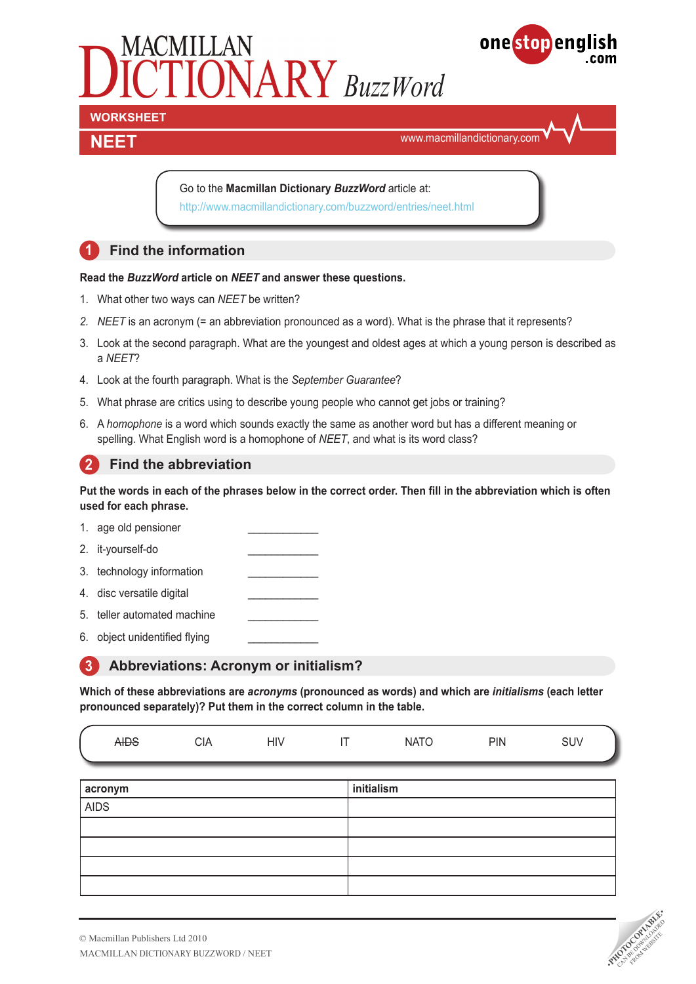



# **NEET**

www.macmillandictionary.com

Go to the **Macmillan Dictionary** *BuzzWord* article at: http://www.macmillandictionary.com/buzzword/entries/neet.html

# **1 Find the information**

### **Read the** *BuzzWord* **article on** *NEET* **and answer these questions.**

- 1. What other two ways can *NEET* be written?
- *2. NEET* is an acronym (= an abbreviation pronounced as a word). What is the phrase that it represents?
- 3. Look at the second paragraph. What are the youngest and oldest ages at which a young person is described as a *NEET*?
- 4. Look at the fourth paragraph. What is the *September Guarantee*?
- 5. What phrase are critics using to describe young people who cannot get jobs or training?
- 6. A *homophone* is a word which sounds exactly the same as another word but has a different meaning or spelling. What English word is a homophone of *NEET*, and what is its word class?

### **2** Find the abbreviation

**Put the words in each of the phrases below in the correct order. Then fill in the abbreviation which is often used for each phrase.**

- 1. age old pensioner
- 2. it-yourself-do
- 3. technology information
- 4. disc versatile digital
- 5. teller automated machine
- 6. object unidentified flying

## **3 Abbreviations: Acronym or initialism?**

**Which of these abbreviations are** *acronyms* **(pronounced as words) and which are** *initialisms* **(each letter pronounced separately)? Put them in the correct column in the table.**

| CIA<br><del>YIDS</del> | J١<br>HIV | $\overline{\phantom{0}}$ | $\cdot$ $\sim$ $\sim$<br><b>INCL</b> | PIN | SUV |
|------------------------|-----------|--------------------------|--------------------------------------|-----|-----|
|------------------------|-----------|--------------------------|--------------------------------------|-----|-----|

| acronym     | initialism |
|-------------|------------|
| <b>AIDS</b> |            |
|             |            |
|             |            |
|             |            |
|             |            |

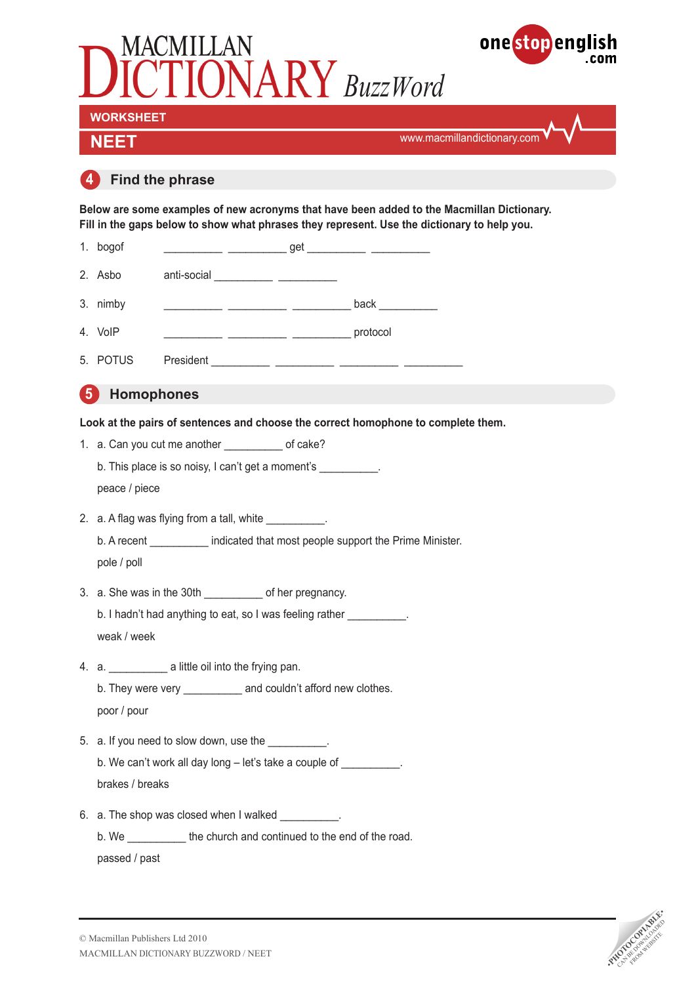

passed / past